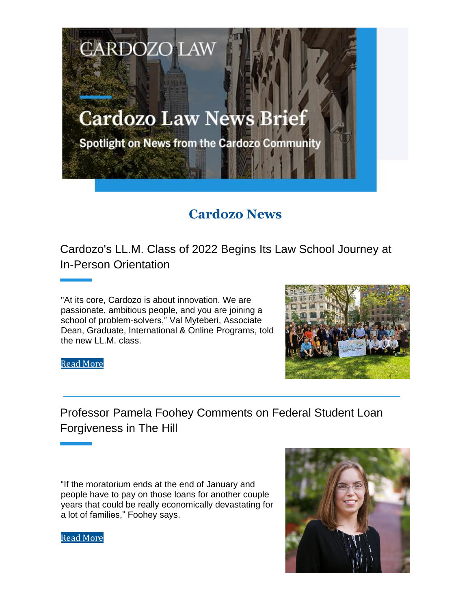# **Cardozo Law News Brief**

**CARDOZO LAW** 

Spotlight on News from the Cardozo Community

# **Cardozo News**

Cardozo's LL.M. Class of 2022 Begins Its Law School Journey at In-Person Orientation

"At its core, Cardozo is about innovation. We are passionate, ambitious people, and you are joining a school of problem-solvers," Val Myteberi, Associate Dean, Graduate, International & Online Programs, told the new LL.M. class.



Read More

# Professor Pamela Foohey Comments on Federal Student Loan Forgiveness in The Hill

"If the moratorium ends at the end of January and people have to pay on those loans for another couple years that could be really economically devastating for a lot of families," Foohey says.



Read More